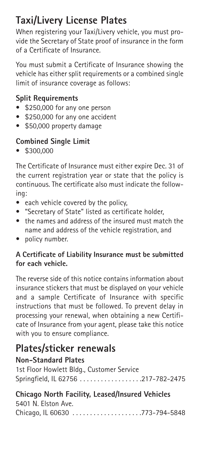# **Taxi/Livery License Plates**

When registering your Taxi/Livery vehicle, you must provide the Secretary of State proof of insurance in the form of a Certificate of Insurance.

You must submit a Certificate of Insurance showing the vehicle has either split requirements or a combined single limit of insurance coverage as follows:

### **Split Requirements**

- \$250,000 for any one person
- \$250,000 for any one accident
- \$50,000 property damage

### **Combined Single Limit**

• \$300,000

The Certificate of Insurance must either expire Dec. 31 of the current registration year or state that the policy is continuous. The certificate also must indicate the following:

- each vehicle covered by the policy,
- "Secretary of State" listed as certificate holder,
- the names and address of the insured must match the name and address of the vehicle registration, and
- policy number.

#### **A Certificate of Liability Insurance must be submitted for each vehicle.**

The reverse side of this notice contains information about insurance stickers that must be displayed on your vehicle and a sample Certificate of Insurance with specific instructions that must be followed. To prevent delay in processing your renewal, when obtaining a new Certificate of Insurance from your agent, please take this notice with you to ensure compliance.

### **Plates/sticker renewals**

### **Non-Standard Plates**

1st Floor Howlett Bldg., Customer Service Springfield, IL 62756 . . . . . . . . . . . . . . . . . .217-782-2475

#### **Chicago North Facility, Leased/Insured Vehicles** 5401 N. Elston Ave.

Chicago, IL 60630 . . . . . . . . . . . . . . . . . . . .773-794-5848